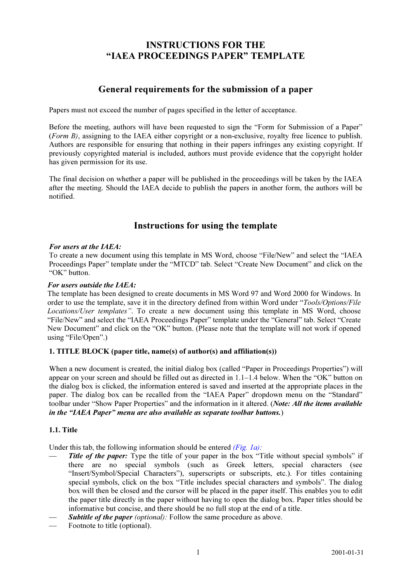## **INSTRUCTIONS FOR THE** "IAEA PROCEEDINGS PAPER" TEMPLATE "IAEA PROCEEDINGS PAPER" TEMPLATER"

# General requirements for the submission of a paper

Papers must not exceed the number of pages specified in the letter of acceptance.

Before the meeting, authors will have been requested to sign the "Form for Submission of a Paper" (Form B), assigning to the IAEA either copyright or a non-exclusive, royalty free licence to publish. Authors are responsible for ensuring that nothing in their papers infringes any existing copyright. If previously copyrighted material is included, authors must provide evidence that the copyright holder has given permission for its use.

The final decision on whether a paper will be published in the proceedings will be taken by the IAEA after the meeting. Should the IAEA decide to publish the papers in another form, the authors will be notified.

# $\sum_{i=1}^{n}$  is a contract for using the template

## For users at the IAEA:

To create a new document using this template in MS Word, choose "File/New" and select the "IAEA Proceedings Paper" template under the "MTCD" tab. Select "Create New Document" and click on the "OK" button.

## *For users outside the IAEA:*

The template has been designed to create documents in MS Word 97 and Word 2000 for Windows. In order to use the template, save it in the directory defined from within Word under "*Tools/Options/File Locations/User templates"*. To create a new document using this template in MS Word, choose "File/New" and select the "IAEA Proceedings Paper" template under the "General" tab. Select "Create New Document" and click on the "OK" button. (Please note that the template will not work if opened using "File/Open".)

## 1. TITLE BLOCK (paper title, name(s) of author(s) and affiliation(s))

When a new document is created, the initial dialog box (called "Paper in Proceedings Properties") will appear on your screen and should be filled out as directed in 1.1–1.4 below. When the "OK" button on the dialog box is clicked, the information entered is saved and inserted at the appropriate places in the paper. The dialog box can be recalled from the "IAEA Paper" dropdown menu on the "Standard" toolbar under "Show Paper Properties" and the information in it altered. (Note: All the items available in the "IAEA Paper" menu are also available as separate toolbar buttons.)

## 1.1. Title

Under this tab, the following information should be entered  $(Fig, Ia)$ :

- Title of the paper: Type the title of your paper in the box "Title without special symbols" if there are no special symbols (such as Greek letters, special characters (see "Insert/Symbol/Special Characters"), superscripts or subscripts, etc.). For titles containing special symbols, click on the box "Title includes special characters and symbols". The dialog box will then be closed and the cursor will be placed in the paper itself. This enables you to edit the paper title directly in the paper without having to open the dialog box. Paper titles should be informative but concise, and there should be no full stop at the end of a title.
- Subtitle of the paper (optional): Follow the same procedure as above.
- Footnote to title (optional).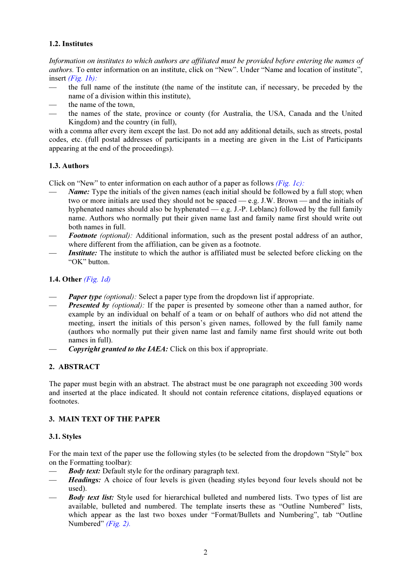## 1.2. Institutes

Information on institutes to which authors are affiliated must be provided before entering the names of authors. To enter information on an institute, click on "New". Under "Name and location of institute", insert  $(Fig. 1b)$ :

- the full name of the institute (the name of the institute can, if necessary, be preceded by the name of a division within this institute),
- the name of the town.
- the names of the state, province or county (for Australia, the USA, Canada and the United Kingdom) and the country (in full),

with a comma after every item except the last. Do not add any additional details, such as streets, postal codes, etc. (full postal addresses of participants in a meeting are given in the List of Participants appearing at the end of the proceedings).

## 1.3. Authors

Click on "New" to enter information on each author of a paper as follows [\(Fig. 1c\):](#page-5-0)

- Name: Type the initials of the given names (each initial should be followed by a full stop; when two or more initials are used they should not be spaced — e.g. J.W. Brown — and the initials of hyphenated names should also be hyphenated — e.g. J.-P. Leblanc) followed by the full family name. Authors who normally put their given name last and family name first should write out both names in full.
- Footnote (optional): Additional information, such as the present postal address of an author, where different from the affiliation, can be given as a footnote.
- Institute: The institute to which the author is affiliated must be selected before clicking on the "OK" button.

## 1.4. Other [\(Fig. 1d\)](#page-5-0)

- **Paper type** (optional): Select a paper type from the dropdown list if appropriate.
- **Presented by** (optional): If the paper is presented by someone other than a named author, for example by an individual on behalf of a team or on behalf of authors who did not attend the meeting, insert the initials of this person's given names, followed by the full family name (authors who normally put their given name last and family name first should write out both names in full).
- **Copyright granted to the IAEA:** Click on this box if appropriate.

## 2. ABSTRACT

The paper must begin with an abstract. The abstract must be one paragraph not exceeding 300 words and inserted at the place indicated. It should not contain reference citations, displayed equations or footnotes.

## 3. MAIN TEXT OF THE PAPER

## 3.1. Styles

For the main text of the paper use the following styles (to be selected from the dropdown "Style" box on the Formatting toolbar):

- **Body text:** Default style for the ordinary paragraph text.
- Headings: A choice of four levels is given (heading styles beyond four levels should not be used).
- **Body text list:** Style used for hierarchical bulleted and numbered lists. Two types of list are available, bulleted and numbered. The template inserts these as "Outline Numbered" lists, which appear as the last two boxes under "Format/Bullets and Numbering", tab "Outline Numbered" (*Fig. 2*).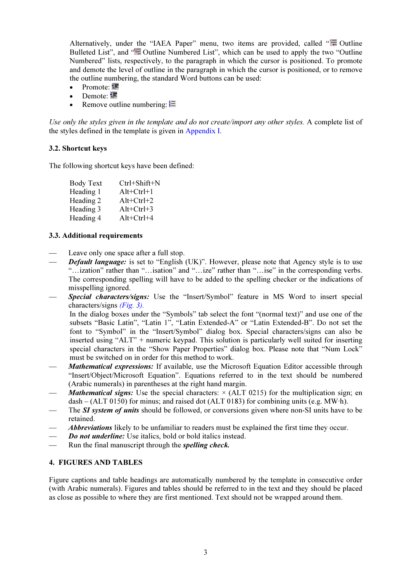Alternatively, under the "IAEA Paper" menu, two items are provided, called " $\equiv$  Outline Bulleted List", and "<sup>1</sup> Outline Numbered List", which can be used to apply the two "Outline" Numbered" lists, respectively, to the paragraph in which the cursor is positioned. To promote and demote the level of outline in the paragraph in which the cursor is positioned, or to remove the outline numbering, the standard Word buttons can be used:

- $\bullet$ Promote:
- $\bullet$ Demote:
- -Remove outline numbering:  $\equiv$

Use only the styles given in the template and do not create/import any other styles. A complete list of the styles defined in the template is given in [Appendix I.](#page-8-0)

## 3.2. Shortcut keys

The following shortcut keys have been defined:

| <b>Body Text</b> | Ctrl+Shift+N |
|------------------|--------------|
| Heading 1        | $Alt+Ctrl+1$ |
| Heading 2        | $Alt+Ctrl+2$ |
| Heading 3        | $Alt+Ctrl+3$ |
| Heading 4        | $Alt+Ctrl+4$ |

## 3.3. Additional requirements

- Leave only one space after a full stop.
- **Default language:** is set to "English (UK)". However, please note that Agency style is to use "…ization" rather than "…isation" and "…ize" rather than "…ise" in the corresponding verbs. The corresponding spelling will have to be added to the spelling checker or the indications of misspelling ignored.
- Special characters/signs: Use the "Insert/Symbol" feature in MS Word to insert special characters/signs [\(Fig. 3\).](#page-6-0)

In the dialog boxes under the "Symbols" tab select the font "(normal text)" and use one of the subsets "Basic Latin", "Latin 1", "Latin Extended-A" or "Latin Extended-B". Do not set the font to "Symbol" in the "Insert/Symbol" dialog box. Special characters/signs can also be inserted using "ALT" + numeric keypad. This solution is particularly well suited for inserting special characters in the "Show Paper Properties" dialog box. Please note that "Num Lock" must be switched on in order for this method to work.

- *Mathematical expressions:* If available, use the Microsoft Equation Editor accessible through "Insert/Object/Microsoft Equation". Equations referred to in the text should be numbered (Arabic numerals) in parentheses at the right hand margin.
- *Mathematical signs:* Use the special characters:  $\times$  (ALT 0215) for the multiplication sign; en dash – (ALT 0150) for minus; and raised dot (ALT 0183) for combining units (e.g. MW·h).
- The **SI** system of units should be followed, or conversions given where non-SI units have to be retained.
- *Abbreviations* likely to be unfamiliar to readers must be explained the first time they occur.
- **Do not underline:** Use italics, bold or bold italics instead.
- Run the final manuscript through the *spelling check*.

## 4. FIGURES AND TABLES

Figure captions and table headings are automatically numbered by the template in consecutive order (with Arabic numerals). Figures and tables should be referred to in the text and they should be placed as close as possible to where they are first mentioned. Text should not be wrapped around them.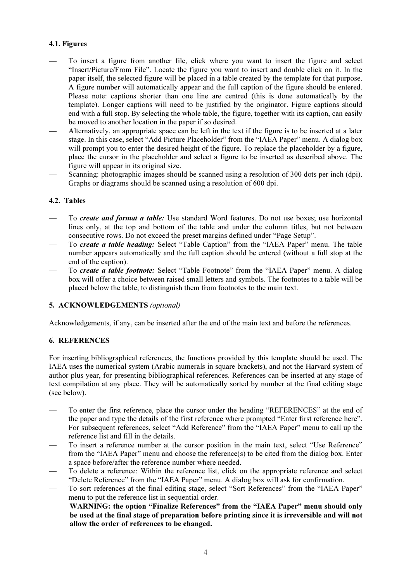## 4.1. Figures

- To insert a figure from another file, click where you want to insert the figure and select "Insert/Picture/From File". Locate the figure you want to insert and double click on it. In the paper itself, the selected figure will be placed in a table created by the template for that purpose. A figure number will automatically appear and the full caption of the figure should be entered. Please note: captions shorter than one line are centred (this is done automatically by the template). Longer captions will need to be justified by the originator. Figure captions should end with a full stop. By selecting the whole table, the figure, together with its caption, can easily be moved to another location in the paper if so desired.
- Alternatively, an appropriate space can be left in the text if the figure is to be inserted at a later stage. In this case, select "Add Picture Placeholder" from the "IAEA Paper" menu. A dialog box will prompt you to enter the desired height of the figure. To replace the placeholder by a figure, place the cursor in the placeholder and select a figure to be inserted as described above. The figure will appear in its original size.
- Scanning: photographic images should be scanned using a resolution of 300 dots per inch (dpi). Graphs or diagrams should be scanned using a resolution of 600 dpi.

## 4.2. Tables

- To create and format a table: Use standard Word features. Do not use boxes; use horizontal lines only, at the top and bottom of the table and under the column titles, but not between consecutive rows. Do not exceed the preset margins defined under "Page Setup".
- To create a table heading: Select "Table Caption" from the "IAEA Paper" menu. The table number appears automatically and the full caption should be entered (without a full stop at the end of the caption).
- To create a table footnote: Select "Table Footnote" from the "IAEA Paper" menu. A dialog box will offer a choice between raised small letters and symbols. The footnotes to a table will be placed below the table, to distinguish them from footnotes to the main text.

## 5. ACKNOWLEDGEMENTS (optional)

Acknowledgements, if any, can be inserted after the end of the main text and before the references.

## 6. REFERENCES

For inserting bibliographical references, the functions provided by this template should be used. The IAEA uses the numerical system (Arabic numerals in square brackets), and not the Harvard system of author plus year, for presenting bibliographical references. References can be inserted at any stage of text compilation at any place. They will be automatically sorted by number at the final editing stage (see below).

- To enter the first reference, place the cursor under the heading "REFERENCES" at the end of the paper and type the details of the first reference where prompted "Enter first reference here". For subsequent references, select "Add Reference" from the "IAEA Paper" menu to call up the reference list and fill in the details.
- To insert a reference number at the cursor position in the main text, select "Use Reference" from the "IAEA Paper" menu and choose the reference(s) to be cited from the dialog box. Enter a space before/after the reference number where needed.
- To delete a reference: Within the reference list, click on the appropriate reference and select "Delete Reference" from the "IAEA Paper" menu. A dialog box will ask for confirmation.
- To sort references at the final editing stage, select "Sort References" from the "IAEA Paper" menu to put the reference list in sequential order.

WARNING: the option "Finalize References" from the "IAEA Paper" menu should only be used at the final stage of preparation before printing since it is irreversible and will not allow the order of references to be changed.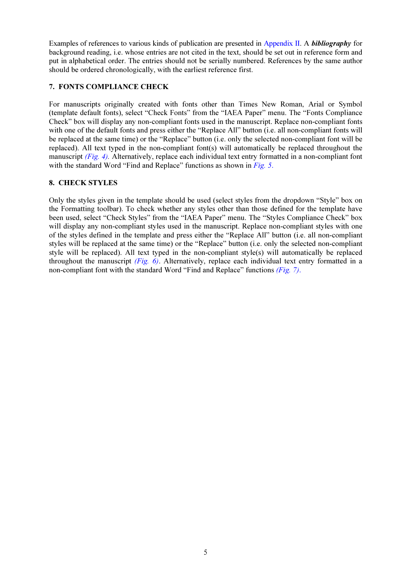Examples of references to various kinds of publication are presented in [Appendix II. A](#page-12-0) *bibliography* for background reading, i.e. whose entries are not cited in the text, should be set out in reference form and put in alphabetical order. The entries should not be serially numbered. References by the same author should be ordered chronologically, with the earliest reference first.

## 7. FONTS COMPLIANCE CHECK

For manuscripts originally created with fonts other than Times New Roman, Arial or Symbol (template default fonts), select "Check Fonts" from the "IAEA Paper" menu. The "Fonts Compliance Check" box will display any non-compliant fonts used in the manuscript. Replace non-compliant fonts with one of the default fonts and press either the "Replace All" button (i.e. all non-compliant fonts will be replaced at the same time) or the "Replace" button (i.e. only the selected non-compliant font will be replaced). All text typed in the non-compliant font(s) will automatically be replaced throughout the manuscript  $(Fig. 4)$  $(Fig. 4)$ . Alternatively, replace each individual text entry formatted in a non-compliant font with the standard Word "Find and Replace" functions as shown in [Fig. 5](#page-7-0).

## 8. CHECK STYLES

Only the styles given in the template should be used (select styles from the dropdown "Style" box on the Formatting toolbar). To check whether any styles other than those defined for the template have been used, select "Check Styles" from the "IAEA Paper" menu. The "Styles Compliance Check" box will display any non-compliant styles used in the manuscript. Replace non-compliant styles with one of the styles defined in the template and press either the "Replace All" button (i.e. all non-compliant styles will be replaced at the same time) or the "Replace" button (i.e. only the selected non-compliant style will be replaced). All text typed in the non-compliant style(s) will automatically be replaced throughout the manuscript  $(Fip, 6)$ . Alternatively, replace each individual text entry formatted in a non-compliant font with the standard Word "Find and Replace" functions [\(Fig. 7\)](#page-7-0).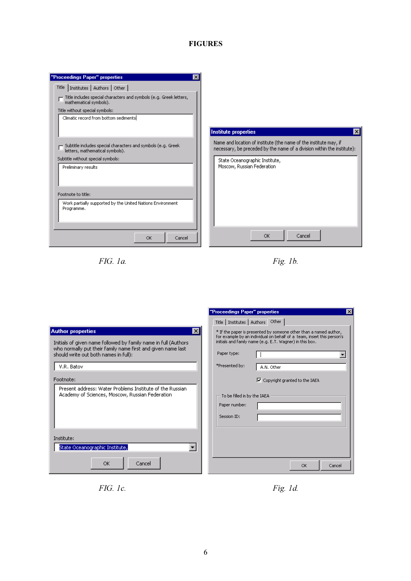## FIGURES

<span id="page-5-0"></span>

| "Proceedings Paper" properties                                                                  | $\boldsymbol{\times}$                                                                                                                        |
|-------------------------------------------------------------------------------------------------|----------------------------------------------------------------------------------------------------------------------------------------------|
| Title   Institutes   Authors   Other                                                            |                                                                                                                                              |
| Title includes special characters and symbols (e.g. Greek letters,<br>mathematical symbols).    |                                                                                                                                              |
| Title without special symbols:                                                                  |                                                                                                                                              |
| Climatic record from bottom sediments                                                           |                                                                                                                                              |
|                                                                                                 |                                                                                                                                              |
|                                                                                                 | Institute properties<br>×                                                                                                                    |
| Subtitle includes special characters and symbols (e.g. Greek<br>letters, mathematical symbols). | Name and location of institute (the name of the institute may, if<br>necessary, be preceded by the name of a division within the institute): |
| Subtitle without special symbols:                                                               | State Oceanographic Institute,                                                                                                               |
| Preliminary results                                                                             | Moscow, Russian Federation                                                                                                                   |
|                                                                                                 |                                                                                                                                              |
|                                                                                                 |                                                                                                                                              |
| Footnote to title:                                                                              |                                                                                                                                              |
|                                                                                                 |                                                                                                                                              |
| Work partially supported by the United Nations Environment<br>Programme.                        |                                                                                                                                              |
|                                                                                                 |                                                                                                                                              |
|                                                                                                 |                                                                                                                                              |
|                                                                                                 |                                                                                                                                              |
| <b>OK</b><br>Cancel                                                                             | OK<br>Cancel                                                                                                                                 |
|                                                                                                 |                                                                                                                                              |



|                                                                                                                                                                                                                           | "Proceedings Paper" properties<br>$\vert x \vert$                                                                                                                                                                                                      |
|---------------------------------------------------------------------------------------------------------------------------------------------------------------------------------------------------------------------------|--------------------------------------------------------------------------------------------------------------------------------------------------------------------------------------------------------------------------------------------------------|
|                                                                                                                                                                                                                           | Title   Institutes   Authors Other                                                                                                                                                                                                                     |
| <b>Author properties</b><br>Ι×Ι<br>Initials of given name followed by family name in full (Authors<br>who normally put their family name first and given name last<br>should write out both names in full):<br>V.R. Batov | * If the paper is presented by someone other than a named author,<br>for example by an individual on behalf of a team, insert this person's<br>initials and family name (e.g. E.T. Wagner) in this box.<br>Paper type:<br>*Presented by:<br>A.N. Other |
| Footnote:<br>Present address: Water Problems Institute of the Russian.<br>Academy of Sciences, Moscow, Russian Federation                                                                                                 | Ⅳ Copyright granted to the IAEA<br>To be filled in by the IAEA<br>Paper number:<br>Session ID:                                                                                                                                                         |
| Institute:<br>State Oceanographic Institute,<br>OK.<br>Cancel                                                                                                                                                             | Cancel<br><b>OK</b>                                                                                                                                                                                                                                    |

FIG. 1c. Fig. 1d.

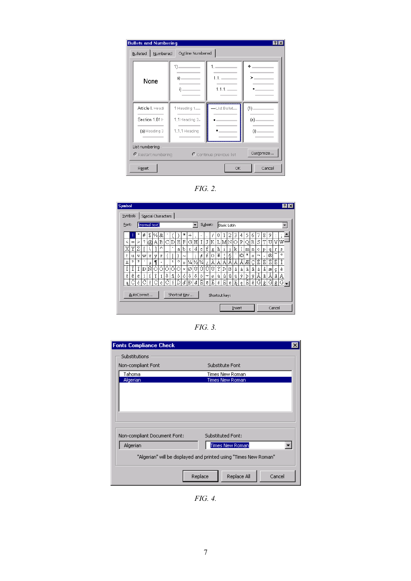<span id="page-6-0"></span>

| <b>Bullets and Numbering</b>        |                                 |                          |           |
|-------------------------------------|---------------------------------|--------------------------|-----------|
| Numbered<br>Bulleted                | Outline Numbered                |                          |           |
| None                                | $1)$ —<br>a) — — —<br>i).<br>__ |                          |           |
| Article I. Headi                    | 1 Heading 1-                    | -List Bullet_            | (1)       |
| Section 1.01 H                      | 1.1 Heading $2-$                |                          | (a) — — — |
| (a) Heading 3                       | 1.1.1 Heading                   |                          | (0)       |
| List numbering<br>Restart numbering |                                 | C Continue previous list | Customize |
| Reset                               |                                 | OK                       | Cancel    |

FIG. 2.

| Symbols |                     | Special Characters |    |     |   |   |    |         |            |               |                             |   |         |   |   |               |              |    |   |              |    |         |   |   |   |         |  |
|---------|---------------------|--------------------|----|-----|---|---|----|---------|------------|---------------|-----------------------------|---|---------|---|---|---------------|--------------|----|---|--------------|----|---------|---|---|---|---------|--|
| Font:   |                     | (normal text)      |    |     |   |   |    |         |            |               |                             |   | Subset: |   |   | Basic Latin   |              |    |   |              |    |         |   |   |   |         |  |
|         |                     | #                  | \$ | %   | & |   |    |         | $\ast$     | $^{+}$        | ,                           |   |         |   | U |               | 2            | 3  | 4 | 5            | 6  | 7       | 8 | 9 |   |         |  |
| <       | $\geq$<br>$=$       |                    | @, | AIB |   | С | D  | Ε       | F          | G             | Η                           |   |         | K | L | MИ            |              | О  | Ρ | Ω            | R) | S       | Т | U | V | W       |  |
| х       | Υ<br>Ζ              |                    |    |     | Λ |   | ×. | а       | b          | c.            | d                           | e | f       | g | h | $\mathbf{1}$  | $\mathbf{1}$ | k  |   | m            | n  | $\circ$ | p | q | r | s       |  |
| t       | v<br>u              | w                  | x  | v   | z |   |    |         | $\tilde{}$ |               |                             | ¢ | £       | o | ¥ |               | Ş            |    | © | $\mathbf{a}$ | «  | -       | ÷ | ® |   | $\circ$ |  |
| $\pm$   | $\overline{2}$<br>3 | ٠                  | μ  |     |   |   | 1  | $\circ$ | y)         | $\frac{1}{4}$ | $\frac{1}{2}$ $\frac{3}{4}$ |   |         | Α | Α | Â             | Ã            | Äl | Å | Æ            |    | È       | É | Ê | Ë | Ì       |  |
|         |                     | Đ                  | Ñ  | Ó   | Ó | ô | Ő  | Ő       | ×          | ø             | Ú                           | Ú | Û       | Ü | Ý | Þ             | ß            | à  | á | â            | ã  | ä       | å | æ | ¢ | è       |  |
| é       | ê<br>ë.             |                    | í  | î   | ï | ð | ñ  | ò       | ó          | ô             | ő                           | ő | ÷       | ø | ù | ú             | û            | ü  | ý | þ            | Ÿ  | Ā       | ā | Ă | ă | Ą       |  |
| ą       | ć                   | ĉ                  | ĉ  | ۸   | ċ |   | č  | Ď       | ď          | Đ             | đ                           | Ē | ē       | Ě | ě | Ė             | ė            | Ę  | ę | É            | ě  | Ĝ       | ĝ | Ğ | ğ | Ğ.      |  |
|         | AutoCorrect         |                    |    |     |   |   |    |         |            | Shortcut Key  |                             |   |         |   |   | Shortcut key: |              |    |   |              |    |         |   |   |   |         |  |

FIG. 3.

| <b>Fonts Compliance Check</b>            | $\times$                                                                                                        |
|------------------------------------------|-----------------------------------------------------------------------------------------------------------------|
| Substitutions                            |                                                                                                                 |
| Non-compliant Font                       | Substitute Font                                                                                                 |
| Tahoma                                   | Times New Roman                                                                                                 |
| Algerian                                 | Times New Roman                                                                                                 |
| Non-compliant Document Font:<br>Algerian | Substituted Font:<br><b>Times New Roman</b><br>"Algerian" will be displayed and printed using "Times New Roman" |
|                                          | Replace<br>Replace All<br>Cancel                                                                                |

FIG. 4.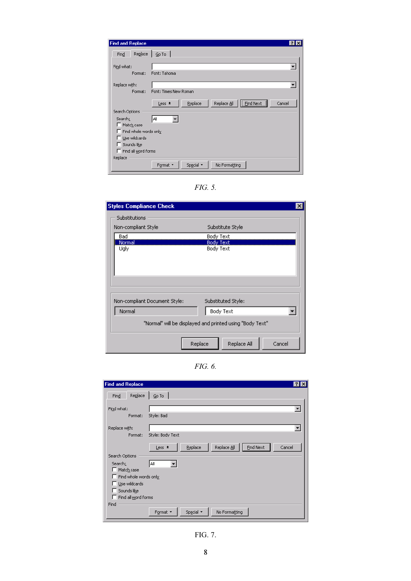<span id="page-7-0"></span>

| <b>Find and Replace</b><br>$\mathbf{?}$                                                   |
|-------------------------------------------------------------------------------------------|
| Replace<br>$Go$ To  <br>Find                                                              |
| Find what:<br>Font: Tahoma<br>Format:                                                     |
| Replace with:<br>Font: Times New Roman<br>Format:                                         |
| <br>Replace<br>Replace All<br>Cancel<br><b>Find Next</b><br>Less *<br>÷<br>Search Options |
| la။<br>Search:<br>Match case<br>Find whole words only                                     |
| $\Box$ Use wildcards<br>Sounds like                                                       |
| Find all word forms<br>Replace                                                            |
| Special *<br>Format *<br>No Formatting                                                    |

FIG. 5.

| <b>Styles Compliance Check</b> | ×                                                        |
|--------------------------------|----------------------------------------------------------|
| <b>Substitutions</b>           |                                                          |
| Non-compliant Style            | Substitute Style                                         |
| Bad                            | Body Text                                                |
| Normal<br>Ugly                 | Body Text<br>Body Text                                   |
|                                |                                                          |
| Non-compliant Document Style:  | Substituted Style:                                       |
| Normal                         | Body Text                                                |
|                                | "Normal" will be displayed and printed using "Body Text" |
| Replace                        | Replace All<br>Cancel                                    |

FIG. 6.

| <b>Find and Replace</b> | $ ?  \times$                                                   |
|-------------------------|----------------------------------------------------------------|
| Replace<br>Find         | $Go$ To $\Box$                                                 |
| Find what:              |                                                                |
| Format:                 | Style: Bad                                                     |
| Replace with:           |                                                                |
| Format:                 | Style: Body Text                                               |
|                         | <b>Find Next</b><br>Replace All<br>Replace<br>Cancel<br>Less * |
| Search Options          |                                                                |
| Search:                 | All                                                            |
| Match case              |                                                                |
| Find whole words only   |                                                                |
| Use wildcards           |                                                                |
| Sounds like             |                                                                |
| Find all word forms     |                                                                |
| Find                    |                                                                |
|                         | Format *<br>Special *<br>No Formatting                         |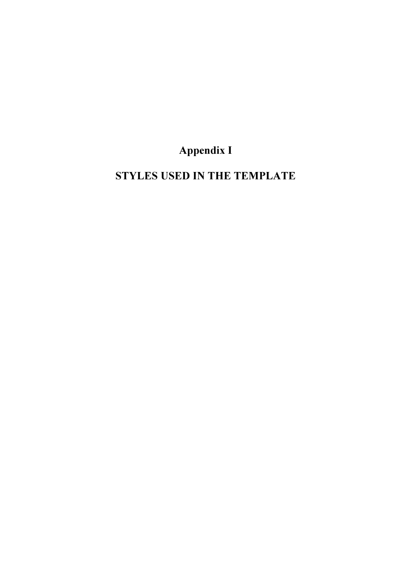# Appendix I

<span id="page-8-0"></span>STYLES USED IN THE TEMPLATE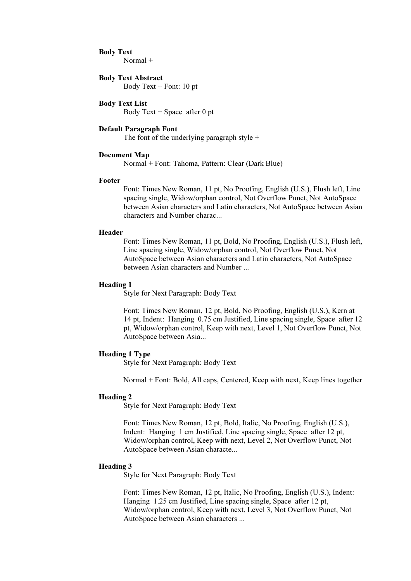#### Body Text

Normal +

### Body Text Abstract

Body Text + Font: 10 pt

## Body Text List

Body Text  $+$  Space after 0 pt

#### Default Paragraph Font

The font of the underlying paragraph style  $+$ 

#### Document Map

Normal + Font: Tahoma, Pattern: Clear (Dark Blue)

#### Footer

Font: Times New Roman, 11 pt, No Proofing, English (U.S.), Flush left, Line spacing single, Widow/orphan control, Not Overflow Punct, Not AutoSpace between Asian characters and Latin characters, Not AutoSpace between Asian characters and Number charac...

#### Header

Font: Times New Roman, 11 pt, Bold, No Proofing, English (U.S.), Flush left, Line spacing single, Widow/orphan control, Not Overflow Punct, Not AutoSpace between Asian characters and Latin characters, Not AutoSpace between Asian characters and Number ...

#### Heading 1

Style for Next Paragraph: Body Text

Font: Times New Roman, 12 pt, Bold, No Proofing, English (U.S.), Kern at 14 pt, Indent: Hanging 0.75 cm Justified, Line spacing single, Space after 12 pt, Widow/orphan control, Keep with next, Level 1, Not Overflow Punct, Not AutoSpace between Asia...

#### Heading 1 Type

Style for Next Paragraph: Body Text

Normal + Font: Bold, All caps, Centered, Keep with next, Keep lines together

#### Heading 2

Style for Next Paragraph: Body Text

Font: Times New Roman, 12 pt, Bold, Italic, No Proofing, English (U.S.), Indent: Hanging 1 cm Justified, Line spacing single, Space after 12 pt, Widow/orphan control, Keep with next, Level 2, Not Overflow Punct, Not AutoSpace between Asian characte...

#### Heading 3

Style for Next Paragraph: Body Text

Font: Times New Roman, 12 pt, Italic, No Proofing, English (U.S.), Indent: Hanging 1.25 cm Justified, Line spacing single, Space after 12 pt, Widow/orphan control, Keep with next, Level 3, Not Overflow Punct, Not AutoSpace between Asian characters ...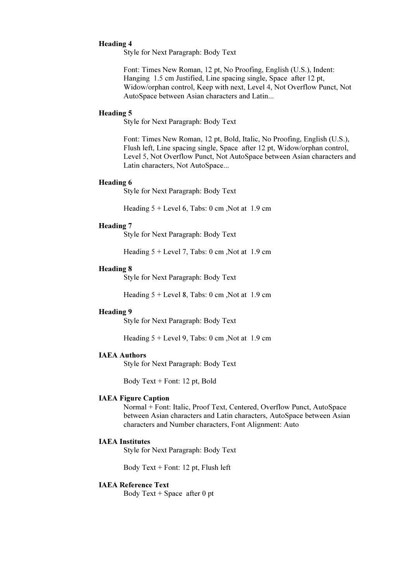## Heading 4

Style for Next Paragraph: Body Text

Font: Times New Roman, 12 pt, No Proofing, English (U.S.), Indent: Hanging 1.5 cm Justified, Line spacing single, Space after 12 pt, Widow/orphan control, Keep with next, Level 4, Not Overflow Punct, Not AutoSpace between Asian characters and Latin...

#### Heading 5

Style for Next Paragraph: Body Text

Font: Times New Roman, 12 pt, Bold, Italic, No Proofing, English (U.S.), Flush left, Line spacing single, Space after 12 pt, Widow/orphan control, Level 5, Not Overflow Punct, Not AutoSpace between Asian characters and Latin characters, Not AutoSpace...

#### Heading 6

Style for Next Paragraph: Body Text

Heading  $5 +$  Level 6, Tabs: 0 cm, Not at 1.9 cm

#### Heading 7

Style for Next Paragraph: Body Text

Heading  $5 +$  Level 7, Tabs: 0 cm, Not at 1.9 cm

#### Heading 8

Style for Next Paragraph: Body Text

Heading  $5 +$  Level 8, Tabs: 0 cm, Not at 1.9 cm

#### Heading 9

Style for Next Paragraph: Body Text

Heading  $5 +$  Level 9, Tabs: 0 cm, Not at 1.9 cm

#### IAEA Authors

Style for Next Paragraph: Body Text

Body Text + Font: 12 pt, Bold

#### IAEA Figure Caption

Normal + Font: Italic, Proof Text, Centered, Overflow Punct, AutoSpace between Asian characters and Latin characters, AutoSpace between Asian characters and Number characters, Font Alignment: Auto

#### IAEA Institutes

Style for Next Paragraph: Body Text

Body Text + Font: 12 pt, Flush left

#### IAEA Reference Text

Body Text  $+$  Space after 0 pt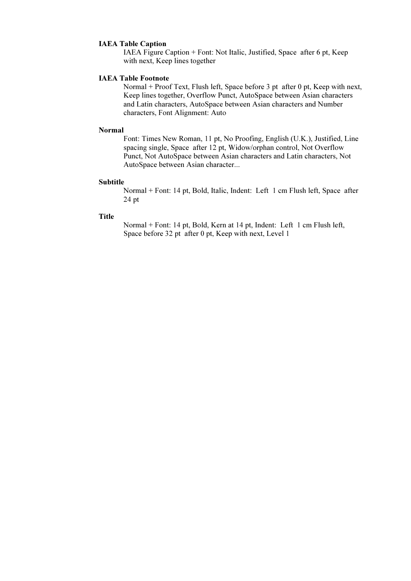## IAEA Table Caption

IAEA Figure Caption + Font: Not Italic, Justified, Space after 6 pt, Keep with next, Keep lines together

#### IAEA Table Footnote

Normal + Proof Text, Flush left, Space before 3 pt after 0 pt, Keep with next, Keep lines together, Overflow Punct, AutoSpace between Asian characters and Latin characters, AutoSpace between Asian characters and Number characters, Font Alignment: Auto

#### Normal

Font: Times New Roman, 11 pt, No Proofing, English (U.K.), Justified, Line spacing single, Space after 12 pt, Widow/orphan control, Not Overflow Punct, Not AutoSpace between Asian characters and Latin characters, Not AutoSpace between Asian character...

#### Subtitle

Normal + Font: 14 pt, Bold, Italic, Indent: Left 1 cm Flush left, Space after 24 pt

## **Title**

Normal + Font: 14 pt, Bold, Kern at 14 pt, Indent: Left 1 cm Flush left, Space before 32 pt after 0 pt, Keep with next, Level 1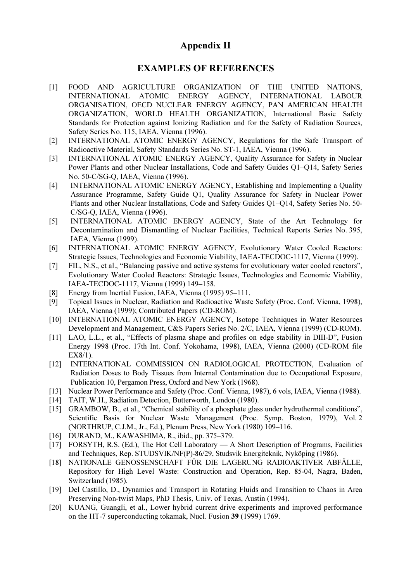# Appendix II

# EXAMPLES OF REFERENCES

- <span id="page-12-0"></span>[1] FOOD AND AGRICULTURE ORGANIZATION OF THE UNITED NATIONS, INTERNATIONAL ATOMIC ENERGY AGENCY, INTERNATIONAL LABOUR ORGANISATION, OECD NUCLEAR ENERGY AGENCY, PAN AMERICAN HEALTH ORGANIZATION, WORLD HEALTH ORGANIZATION, International Basic Safety Standards for Protection against Ionizing Radiation and for the Safety of Radiation Sources, Safety Series No. 115, IAEA, Vienna (1996).
- [2] INTERNATIONAL ATOMIC ENERGY AGENCY, Regulations for the Safe Transport of Radioactive Material, Safety Standards Series No. ST-1, IAEA, Vienna (1996).
- [3] INTERNATIONAL ATOMIC ENERGY AGENCY, Quality Assurance for Safety in Nuclear Power Plants and other Nuclear Installations, Code and Safety Guides Q1–Q14, Safety Series No. 50-C/SG-Q, IAEA, Vienna (1996).
- [4] INTERNATIONAL ATOMIC ENERGY AGENCY, Establishing and Implementing a Quality Assurance Programme, Safety Guide Q1, Quality Assurance for Safety in Nuclear Power Plants and other Nuclear Installations, Code and Safety Guides Q1–Q14, Safety Series No. 50- C/SG-Q, IAEA, Vienna (1996).
- [5] INTERNATIONAL ATOMIC ENERGY AGENCY, State of the Art Technology for Decontamination and Dismantling of Nuclear Facilities, Technical Reports Series No. 395, IAEA, Vienna (1999).
- [6] INTERNATIONAL ATOMIC ENERGY AGENCY, Evolutionary Water Cooled Reactors: Strategic Issues, Technologies and Economic Viability, IAEA-TECDOC-1117, Vienna (1999).
- [7] FIL, N.S., et al., "Balancing passive and active systems for evolutionary water cooled reactors", Evolutionary Water Cooled Reactors: Strategic Issues, Technologies and Economic Viability, IAEA-TECDOC-1117, Vienna (1999) 149–158.
- [8] Energy from Inertial Fusion, IAEA, Vienna (1995) 95–111.
- [9] Topical Issues in Nuclear, Radiation and Radioactive Waste Safety (Proc. Conf. Vienna, 1998), IAEA, Vienna (1999); Contributed Papers (CD-ROM).
- [10] INTERNATIONAL ATOMIC ENERGY AGENCY, Isotope Techniques in Water Resources Development and Management, C&S Papers Series No. 2/C, IAEA, Vienna (1999) (CD-ROM).
- [11] LAO, L.L., et al., "Effects of plasma shape and profiles on edge stability in DIII-D", Fusion Energy 1998 (Proc. 17th Int. Conf. Yokohama, 1998), IAEA, Vienna (2000) (CD-ROM file EX8/1).
- [12] INTERNATIONAL COMMISSION ON RADIOLOGICAL PROTECTION, Evaluation of Radiation Doses to Body Tissues from Internal Contamination due to Occupational Exposure, Publication 10, Pergamon Press, Oxford and New York (1968).
- [13] Nuclear Power Performance and Safety (Proc. Conf. Vienna, 1987), 6 vols, IAEA, Vienna (1988).
- [14] TAIT, W.H., Radiation Detection, Butterworth, London (1980).
- [15] GRAMBOW, B., et al., "Chemical stability of a phosphate glass under hydrothermal conditions". Scientific Basis for Nuclear Waste Management (Proc. Symp. Boston, 1979), Vol. 2 (NORTHRUP, C.J.M., Jr., Ed.), Plenum Press, New York (1980) 109–116.
- [16] DURAND, M., KAWASHIMA, R., ibid., pp. 375–379.
- [17] FORSYTH, R.S. (Ed.), The Hot Cell Laboratory A Short Description of Programs, Facilities and Techniques, Rep. STUDSVIK/NF(P)-86/29, Studsvik Energiteknik, Nyköping (1986).
- [18] NATIONALE GENOSSENSCHAFT FÜR DIE LAGERUNG RADIOAKTlVER ABFÄLLE, Repository for High Level Waste: Construction and Operation, Rep. 85-04, Nagra, Baden, Switzerland (1985).
- [19] Del Castillo, D., Dynamics and Transport in Rotating Fluids and Transition to Chaos in Area Preserving Non-twist Maps, PhD Thesis, Univ. of Texas, Austin (1994).
- [20] KUANG, Guangli, et al., Lower hybrid current drive experiments and improved performance on the HT-7 superconducting tokamak, Nucl. Fusion 39 (1999) 1769.